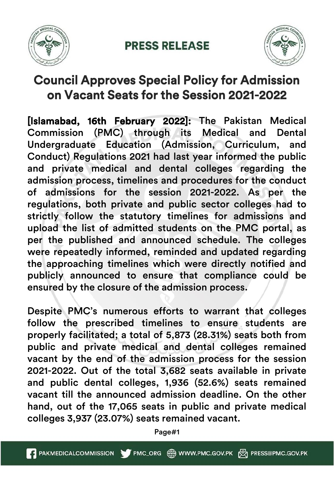

## **PRESS RELEASE**



## Council Approves Special Policy for Admission on Vacant Seats for the Session 2021-2022

[Islamabad, 16th February 2022]: The Pakistan Medical Commission (PMC) through its Medical and Dental Undergraduate Education (Admission, Curriculum, and Conduct) Regulations 2021 had last year informed the public and private medical and dental colleges regarding the admission process, timelines and procedures for the conduct of admissions for the session 2021-2022. As per the regulations, both private and public sector colleges had to strictly follow the statutory timelines for admissions and upload the list of admitted students on the PMC portal, as per the published and announced schedule. The colleges were repeatedly informed, reminded and updated regarding the approaching timelines which were directly notified and publicly announced to ensure that compliance could be ensured by the closure of the admission process.

Despite PMC's numerous efforts to warrant that colleges follow the prescribed timelines to ensure students are properly facilitated; a total of 5,873 (28.31%) seats both from public and private medical and dental colleges remained vacant by the end of the admission process for the session 2021-2022. Out of the total 3,682 seats available in private and public dental colleges, 1,936 (52.6%) seats remained vacant till the announced admission deadline. On the other hand, out of the 17,065 seats in public and private medical colleges 3,937 (23.07%) seats remained vacant.

Page#1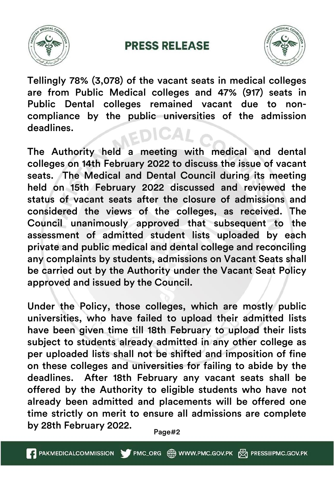

## **PRESS RELEASE**



Tellingly 78% (3,078) of the vacant seats in medical colleges are from Public Medical colleges and 47% (917) seats in Public Dental colleges remained vacant due to noncompliance by the public universities of the admission deadlines.

The Authority held a meeting with medical and dental colleges on 14th February 2022 to discuss the issue of vacant seats. The Medical and Dental Council during its meeting held on 15th February 2022 discussed and reviewed the status of vacant seats after the closure of admissions and considered the views of the colleges, as received. The Council unanimously approved that subsequent to the assessment of admitted student lists uploaded by each private and public medical and dental college and reconciling any complaints by students, admissions on Vacant Seats shall be carried out by the Authority under the Vacant Seat Policy approved and issued by the Council.

Under the Policy, those colleges, which are mostly public universities, who have failed to upload their admitted lists have been given time till 18th February to upload their lists subject to students already admitted in any other college as per uploaded lists shall not be shifted and imposition of fine on these colleges and universities for failing to abide by the deadlines. After 18th February any vacant seats shall be offered by the Authority to eligible students who have not already been admitted and placements will be offered one time strictly on merit to ensure all admissions are complete by 28th February 2022.